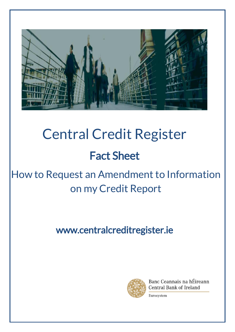

# Central Credit Register Fact Sheet

# How to Request an Amendment to Information on my Credit Report

## www.centralcreditregister.ie



Banc Ceannais na hÉireann Central Bank of Ireland

Eurosystem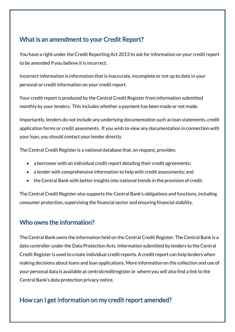### What is an amendment to your Credit Report?

You have a right under the Credit Reporting Act 2013 to ask for information on your credit report to be amended if you believe it is incorrect.

Incorrect information is information that is inaccurate, incomplete or not up to date in your personal or credit information on your credit report.

Your credit report is produced by the Central Credit Register from information submitted monthly by your lenders. This includes whether a payment has been made or not made.

Importantly, lenders do not include any underlying documentation such as loan statements, credit application forms or credit assesments. If you wish to view any documentation in connection with your loan, you should contact your lender directly.

The Central Credit Register is a national database that, on request, provides:

- a borrower with an individual credit report detailing their credit agreements;
- a lender with comprehensive information to help with credit assessments; and
- the Central Bank with better insights into national trends in the provision of credit.

The Central Credit Register also supports the Central Bank's obligations and functions, including consumer protection, supervising the financial sector and ensuring financial stability.

#### Who owns the information?

The Central Bank owns the information held on the Central Credit Register. The Central Bank is a data controller under the Data Protection Acts. Information submitted by lenders to the Central Credit Register is used to create individual credit reports. A credit report can help lenders when making decisions about loans and loan applications. More information on the collection and use of your personal data is available at centralcreditregister.ie where you will also find a link to the Central Bank's data protection privacy notice.

#### How can I get information on my credit report amended?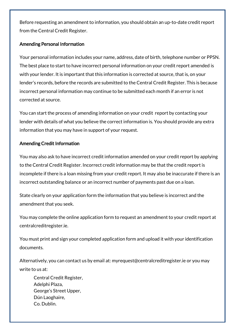Before requesting an amendment to information, you should obtain an up-to-date credit report from the Central Credit Register.

#### Amending Personal Information

Your personal information includes your name, address, date of birth, telephone number or PPSN. The best place to start to have incorrect personal information on your credit report amended is with your lender. It is important that this information is corrected at source, that is, on your lender's records, before the records are submitted to the Central Credit Register. This is because incorrect personal information may continue to be submitted each month if an error is not corrected at source.

You can start the process of amending information on your credit report by contacting your lender with details of what you believe the correct information is. You should provide any extra information that you may have in support of your request.

#### Amending Credit Information

You may also ask to have incorrect credit information amended on your credit report by applying to the Central Credit Register. Incorrect credit information may be that the credit report is incomplete if there is a loan missing from your credit report. It may also be inaccurate if there is an incorrect outstanding balance or an incorrect number of payments past due on a loan.

State clearly on your application form the information that you believe is incorrect and the amendment that you seek.

You may complete the online application form to request an amendment to your credit report at centralcreditregister.ie.

You must print and sign your completed application form and upload it with your identification documents.

Alternatively, you can contact us by email at: myrequest@centralcreditregister.ie or you may write to us at:

Central Credit Register, Adelphi Plaza, George's Street Upper, Dún Laoghaire, Co. Dublin.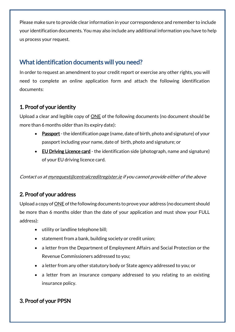Please make sure to provide clear information in your correspondence and remember to include your identification documents. You may also include any additional information you have to help us process your request.

#### What identification documents will you need?

In order to request an amendment to your credit report or exercise any other rights, you will need to complete an online application form and attach the following identification documents:

#### 1. Proof of your identity

Upload a clear and legible copy of **ONE** of the following documents (no document should be more than 6 months older than its expiry date):

- Passport-the identification page (name, date of birth, photo and signature) of your passport including your name, date of birth, photo and signature; or
- EU Driving Licence card the identification side (photograph, name and signature) of your EU driving licence card.

Contact us a[t myrequest@centralcreditregister.ie](mailto:myrequest@centralcreditregister.ie) if you cannot provide either of the above

#### 2. Proof of your address

Upload a copy of ONE of the following documents to prove your address (no document should be more than 6 months older than the date of your application and must show your FULL address):

- utility or landline telephone bill;
- statement from a bank, building society or credit union;
- a letter from the Department of Employment Affairs and Social Protection or the Revenue Commissioners addressed to you;
- a letter from any other statutory body or State agency addressed to you; or
- a letter from an insurance company addressed to you relating to an existing insurance policy.

#### 3. Proof of your PPSN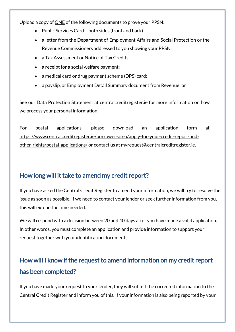Upload a copy of ONE of the following documents to prove your PPSN:

- Public Services Card both sides (front and back)
- a letter from the Department of Employment Affairs and Social Protection or the Revenue Commissioners addressed to you showing your PPSN;
- a Tax Assessment or Notice of Tax Credits;
- a receipt for a social welfare payment;
- a medical card or drug payment scheme (DPS) card;
- a payslip, or Employment Detail Summary document from Revenue; or

See our Data Protection Statement at centralcreditregister.ie for more information on how we process your personal information.

For postal applications, please download an application form at [https://www.centralcreditregister.ie/borrower-area/apply-for-your-credit-report-and](https://www.centralcreditregister.ie/borrower-area/apply-for-your-credit-report-and-other-rights/postal-applications/)[other-rights/postal-applications/](https://www.centralcreditregister.ie/borrower-area/apply-for-your-credit-report-and-other-rights/postal-applications/) or contact us at myrequest@centralcreditregister.ie.

#### How long will it take to amend my credit report?

If you have asked the Central Credit Register to amend your information, we will try to resolve the issue as soon as possible. If we need to contact your lender or seek further information from you, this will extend the time needed.

We will respond with a decision between 20 and 40 days after you have made a valid application. In other words, you must complete an application and provide information to support your request together with your identification documents.

### How will I know if the request to amend information on my credit report has been completed?

If you have made your request to your lender, they will submit the corrected information to the Central Credit Register and inform you of this. If your information is also being reported by your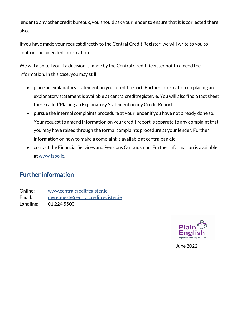lender to any other credit bureaux, you should ask your lender to ensure that it is corrected there also.

If you have made your request directly to the Central Credit Register, we will write to you to confirm the amended information.

We will also tell you if a decision is made by the Central Credit Register not to amend the information. In this case, you may still:

- place an explanatory statement on your credit report. Further information on placing an explanatory statement is available at centralcreditregister.ie. You will also find a fact sheet there called 'Placing an Explanatory Statement on my Credit Report';
- pursue the internal complaints procedure at your lender if you have not already done so. Your request to amend information on your credit report is separate to any complaint that you may have raised through the formal complaints procedure at your lender. Further information on how to make a complaint is available at centralbank.ie.
- contact the Financial Services and Pensions Ombudsman. Further information is available a[t www.fspo.ie.](https://www.fspo.ie/)

#### Further information

Online: [www.centralcreditregister.ie](http://www.centralcreditregister.ie/) Email: [myrequest@centralcreditregister.ie](mailto:myrequest@centralcreditregister.ie) Landline: 01 224 5500



June 2022